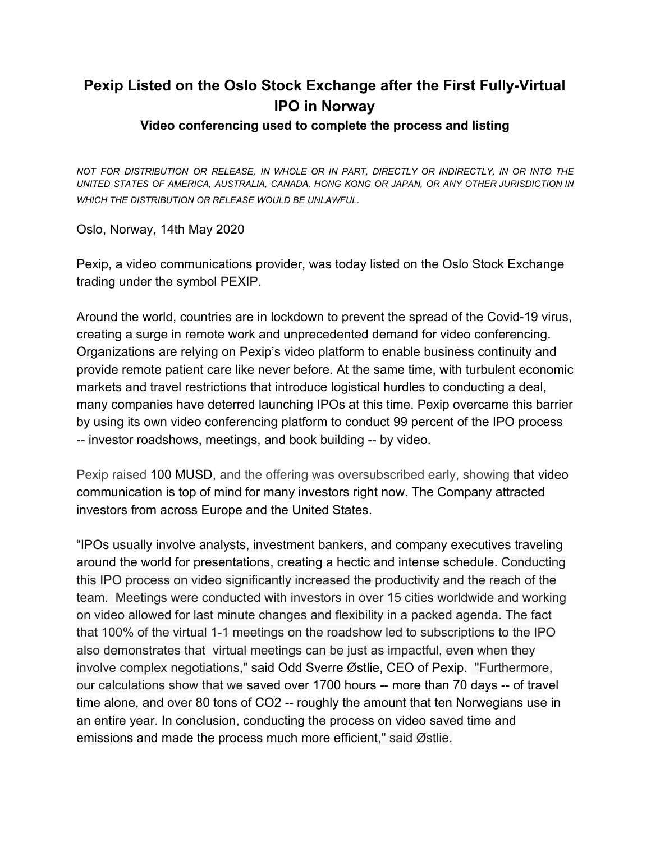## **Pexip Listed on the Oslo Stock Exchange after the First Fully-Virtual IPO in Norway**

## **Video conferencing used to complete the process and listing**

*NOT FOR DISTRIBUTION OR RELEASE, IN WHOLE OR IN PART, DIRECTLY OR INDIRECTLY, IN OR INTO THE UNITED STATES OF AMERICA, AUSTRALIA, CANADA, HONG KONG OR JAPAN, OR ANY OTHER JURISDICTION IN WHICH THE DISTRIBUTION OR RELEASE WOULD BE UNLAWFUL.*

Oslo, Norway, 14th May 2020

Pexip, a video communications provider, was today listed on the Oslo Stock Exchange trading under the symbol PEXIP.

Around the world, countries are in lockdown to prevent the spread of the Covid-19 virus, creating a surge in remote work and unprecedented demand for video conferencing. Organizations are relying on Pexip's video platform to enable business continuity and provide remote patient care like never before. At the same time, with turbulent economic markets and travel restrictions that introduce logistical hurdles to conducting a deal, many companies have deterred launching IPOs at this time. Pexip overcame this barrier by using its own video conferencing platform to conduct 99 percent of the IPO process -- investor roadshows, meetings, and book building -- by video.

Pexip raised 100 MUSD, and the offering was oversubscribed early, showing that video communication is top of mind for many investors right now. The Company attracted investors from across Europe and the United States.

"IPOs usually involve analysts, investment bankers, and company executives traveling around the world for presentations, creating a hectic and intense schedule. Conducting this IPO process on video significantly increased the productivity and the reach of the team. Meetings were conducted with investors in over 15 cities worldwide and working on video allowed for last minute changes and flexibility in a packed agenda. The fact that 100% of the virtual 1-1 meetings on the roadshow led to subscriptions to the IPO also demonstrates that virtual meetings can be just as impactful, even when they involve complex negotiations," said Odd Sverre Østlie, CEO of Pexip. "Furthermore, our calculations show that we saved over 1700 hours -- more than 70 days -- of travel time alone, and over 80 tons of CO2 -- roughly the amount that ten Norwegians use in an entire year. In conclusion, conducting the process on video saved time and emissions and made the process much more efficient," said Østlie.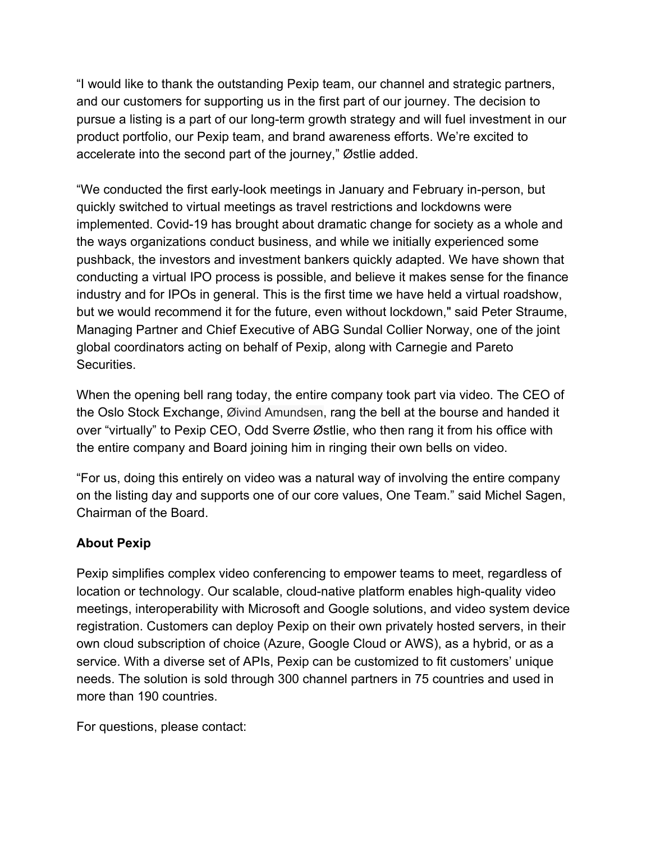"I would like to thank the outstanding Pexip team, our channel and strategic partners, and our customers for supporting us in the first part of our journey. The decision to pursue a listing is a part of our long-term growth strategy and will fuel investment in our product portfolio, our Pexip team, and brand awareness efforts. We're excited to accelerate into the second part of the journey," Østlie added.

"We conducted the first early-look meetings in January and February in-person, but quickly switched to virtual meetings as travel restrictions and lockdowns were implemented. Covid-19 has brought about dramatic change for society as a whole and the ways organizations conduct business, and while we initially experienced some pushback, the investors and investment bankers quickly adapted. We have shown that conducting a virtual IPO process is possible, and believe it makes sense for the finance industry and for IPOs in general. This is the first time we have held a virtual roadshow, but we would recommend it for the future, even without lockdown," said Peter Straume, Managing Partner and Chief Executive of ABG Sundal Collier Norway, one of the joint global coordinators acting on behalf of Pexip, along with Carnegie and Pareto Securities.

When the opening bell rang today, the entire company took part via video. The CEO of the Oslo Stock Exchange, Øivind Amundsen, rang the bell at the bourse and handed it over "virtually" to Pexip CEO, Odd Sverre Østlie, who then rang it from his office with the entire company and Board joining him in ringing their own bells on video.

"For us, doing this entirely on video was a natural way of involving the entire company on the listing day and supports one of our core values, One Team." said Michel Sagen, Chairman of the Board.

## **About Pexip**

Pexip simplifies complex video conferencing to empower teams to meet, regardless of location or technology. Our scalable, cloud-native platform enables high-quality video meetings, interoperability with Microsoft and Google solutions, and video system device registration. Customers can deploy Pexip on their own privately hosted servers, in their own cloud subscription of choice (Azure, Google Cloud or AWS), as a hybrid, or as a service. With a diverse set of APIs, Pexip can be customized to fit customers' unique needs. The solution is sold through 300 channel partners in 75 countries and used in more than 190 countries.

For questions, please contact: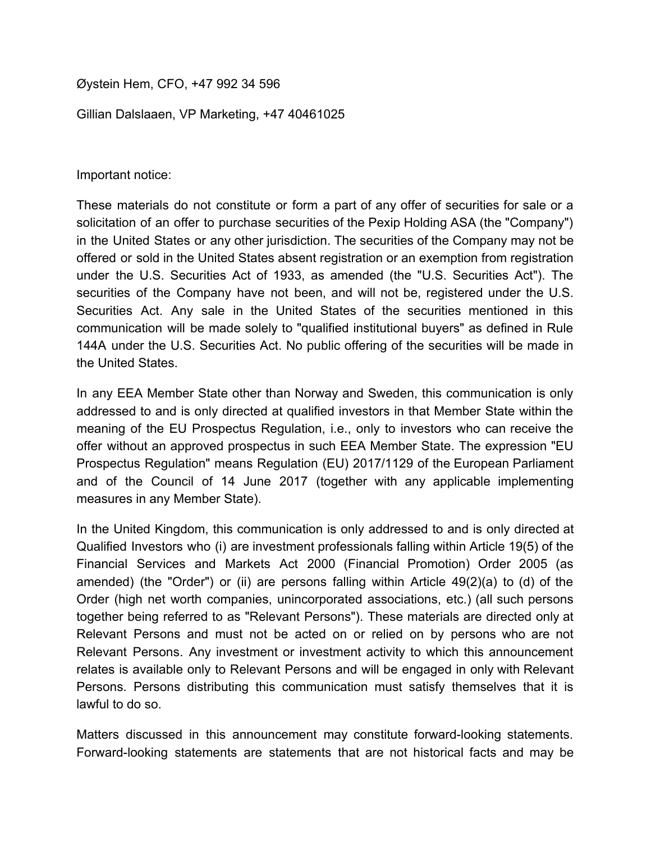Øystein Hem, CFO, +47 992 34 596

Gillian Dalslaaen, VP Marketing, +47 40461025

Important notice:

These materials do not constitute or form a part of any offer of securities for sale or a solicitation of an offer to purchase securities of the Pexip Holding ASA (the "Company") in the United States or any other jurisdiction. The securities of the Company may not be offered or sold in the United States absent registration or an exemption from registration under the U.S. Securities Act of 1933, as amended (the "U.S. Securities Act"). The securities of the Company have not been, and will not be, registered under the U.S. Securities Act. Any sale in the United States of the securities mentioned in this communication will be made solely to "qualified institutional buyers" as defined in Rule 144A under the U.S. Securities Act. No public offering of the securities will be made in the United States.

In any EEA Member State other than Norway and Sweden, this communication is only addressed to and is only directed at qualified investors in that Member State within the meaning of the EU Prospectus Regulation, i.e., only to investors who can receive the offer without an approved prospectus in such EEA Member State. The expression "EU Prospectus Regulation" means Regulation (EU) 2017/1129 of the European Parliament and of the Council of 14 June 2017 (together with any applicable implementing measures in any Member State).

In the United Kingdom, this communication is only addressed to and is only directed at Qualified Investors who (i) are investment professionals falling within Article 19(5) of the Financial Services and Markets Act 2000 (Financial Promotion) Order 2005 (as amended) (the "Order") or (ii) are persons falling within Article 49(2)(a) to (d) of the Order (high net worth companies, unincorporated associations, etc.) (all such persons together being referred to as "Relevant Persons"). These materials are directed only at Relevant Persons and must not be acted on or relied on by persons who are not Relevant Persons. Any investment or investment activity to which this announcement relates is available only to Relevant Persons and will be engaged in only with Relevant Persons. Persons distributing this communication must satisfy themselves that it is lawful to do so.

Matters discussed in this announcement may constitute forward-looking statements. Forward-looking statements are statements that are not historical facts and may be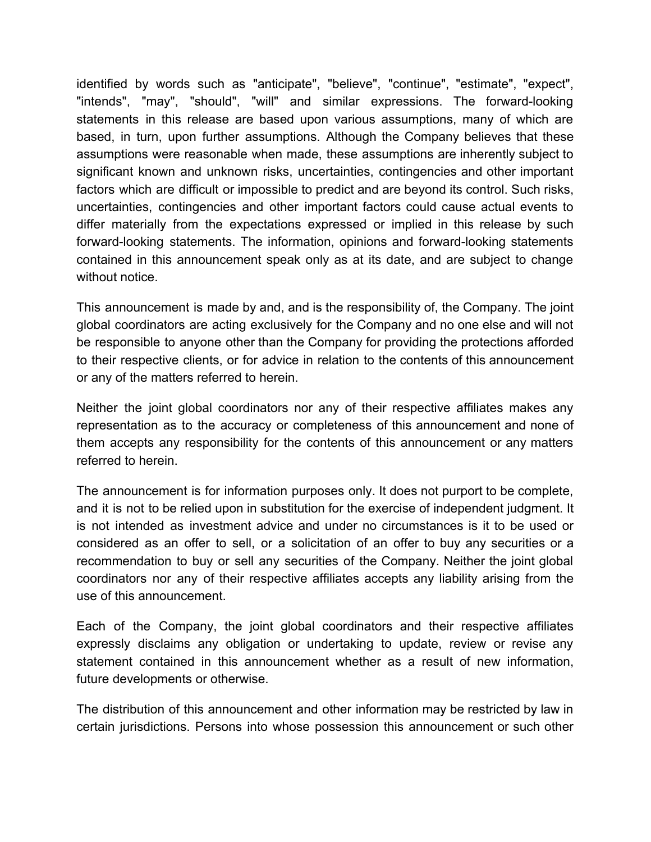identified by words such as "anticipate", "believe", "continue", "estimate", "expect", "intends", "may", "should", "will" and similar expressions. The forward-looking statements in this release are based upon various assumptions, many of which are based, in turn, upon further assumptions. Although the Company believes that these assumptions were reasonable when made, these assumptions are inherently subject to significant known and unknown risks, uncertainties, contingencies and other important factors which are difficult or impossible to predict and are beyond its control. Such risks, uncertainties, contingencies and other important factors could cause actual events to differ materially from the expectations expressed or implied in this release by such forward-looking statements. The information, opinions and forward-looking statements contained in this announcement speak only as at its date, and are subject to change without notice.

This announcement is made by and, and is the responsibility of, the Company. The joint global coordinators are acting exclusively for the Company and no one else and will not be responsible to anyone other than the Company for providing the protections afforded to their respective clients, or for advice in relation to the contents of this announcement or any of the matters referred to herein.

Neither the joint global coordinators nor any of their respective affiliates makes any representation as to the accuracy or completeness of this announcement and none of them accepts any responsibility for the contents of this announcement or any matters referred to herein.

The announcement is for information purposes only. It does not purport to be complete, and it is not to be relied upon in substitution for the exercise of independent judgment. It is not intended as investment advice and under no circumstances is it to be used or considered as an offer to sell, or a solicitation of an offer to buy any securities or a recommendation to buy or sell any securities of the Company. Neither the joint global coordinators nor any of their respective affiliates accepts any liability arising from the use of this announcement.

Each of the Company, the joint global coordinators and their respective affiliates expressly disclaims any obligation or undertaking to update, review or revise any statement contained in this announcement whether as a result of new information, future developments or otherwise.

The distribution of this announcement and other information may be restricted by law in certain jurisdictions. Persons into whose possession this announcement or such other